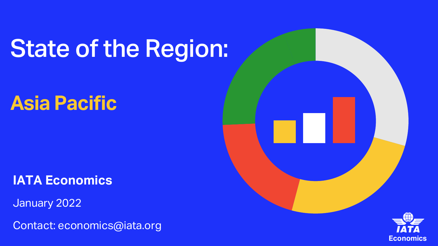# State of the Region:

## **Asia Pacific**

**IATA Economics**

January 2022

Contact: economics@iata.org



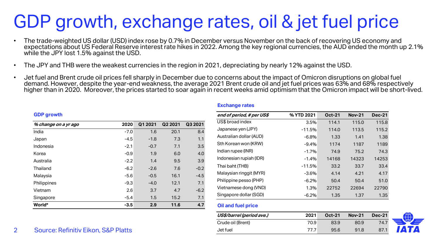## GDP growth, exchange rates, oil & jet fuel price

- The trade-weighted US dollar (USD) index rose by 0.7% in December versus November on the back of recovering US economy and expectations about US Federal Reserve interest rate hikes in 2022. Among the key regional currencies, the AUD ended the month up 2.1% while the JPY lost 1.5% against the USD.
- The JPY and THB were the weakest currencies in the region in 2021, depreciating by nearly 12% against the USD.
- Jet fuel and Brent crude oil prices fell sharply in December due to concerns about the impact of Omicron disruptions on global fuel demand. However, despite the year-end weakness, the average 2021 Brent crude oil and jet fuel prices was 63% and 68% respectively higher than in 2020. Moreover, the prices started to soar again in recent weeks amid optimism that the Omicron impact will be short-lived.

#### **GDP growth**

| % change on a yr ago | 2020   | Q1 2021 | Q2 2021 | Q3 2021 |
|----------------------|--------|---------|---------|---------|
| India                | $-7.0$ | 1.6     | 20.1    | 8.4     |
| Japan                | $-4.5$ | $-1.8$  | 7.3     | 1.1     |
| Indonesia            | $-2.1$ | $-0.7$  | 7.1     | 3.5     |
| Korea                | $-0.9$ | 1.9     | 6.0     | 4.0     |
| Australia            | $-2.2$ | 1.4     | 9.5     | 3.9     |
| Thailand             | $-6.2$ | $-2.6$  | 7.6     | $-0.2$  |
| Malaysia             | $-5.6$ | $-0.5$  | 16.1    | $-4.5$  |
| Philippines          | $-9.3$ | $-4.0$  | 12.1    | 7.1     |
| Vietnam              | 2.6    | 3.7     | 4.7     | $-6.2$  |
| Singapore            | $-5.4$ | 1.5     | 15.2    | 7.1     |
| World*               | $-3.5$ | 2.9     | 11.6    | 4.7     |

#### **Exchange rates**

| end of period, # per US\$ | % YTD 2021 | <b>Oct-21</b> | <b>Nov-21</b> | <b>Dec-21</b> |
|---------------------------|------------|---------------|---------------|---------------|
| US\$ broad index          | 3.5%       | 114.1         | 115.0         | 115.8         |
| Japanese yen (JPY)        | $-11.5%$   | 114.0         | 113.5         | 115.2         |
| Australian dollar (AUD)   | $-6.8%$    | 1.33          | 1.41          | 1.38          |
| Sth Korean won (KRW)      | $-9.4%$    | 1174          | 1187          | 1189          |
| Indian rupee (INR)        | $-1.7%$    | 74.9          | 75.2          | 74.3          |
| Indonesian rupiah (IDR)   | $-1.4%$    | 14168         | 14323         | 14253         |
| Thai baht (THB)           | $-11.5%$   | 33.2          | 33.7          | 33.4          |
| Malaysian ringgit (MYR)   | $-3.6%$    | 4.14          | 4.21          | 4.17          |
| Philippine pesso (PHP)    | $-6.2%$    | 50.4          | 50.4          | 51.0          |
| Vietnamese dong (VND)     | 1.3%       | 22752         | 22694         | 22790         |
| Singapore dollar (SGD)    | $-6.2%$    | 1.35          | 1.37          | 1.35          |

### **Oil and fuel price**

| US\$/barrel (period ave.) | 2021 | <b>Oct-21</b> | <b>Nov-21</b> | <b>Dec-21</b> |  |
|---------------------------|------|---------------|---------------|---------------|--|
| Crude oil (Brent)         | 70.9 | 83.9          | 80.9          | 74.7          |  |
| Jet fuel                  | 77 7 | 95.6          | 91.8          | 87.1          |  |

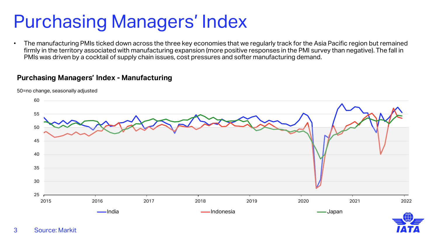## Purchasing Managers' Index

• The manufacturing PMIs ticked down across the three key economies that we regularly track for the Asia Pacific region but remained firmly in the territory associated with manufacturing expansion (more positive responses in the PMI survey than negative). The fall in PMIs was driven by a cocktail of supply chain issues, cost pressures and softer manufacturing demand.

### **Purchasing Managers' Index - Manufacturing**

50=no change, seasonally adjusted

3 Source: Markit

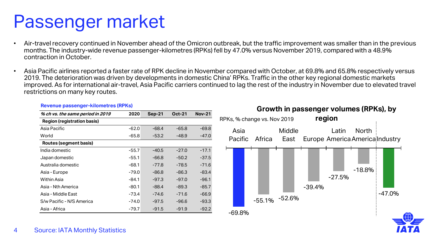## Passenger market

- Air-travel recovery continued in November ahead of the Omicron outbreak, but the traffic improvement was smaller than in the previous months. The industry-wide revenue passenger-kilometres (RPKs) fell by 47.0% versus November 2019, compared with a 48.9% contraction in October.
- Asia Pacific airlines reported a faster rate of RPK decline in November compared with October, at 69.8% and 65.8% respectively versus 2019. The deterioration was driven by developments in domestic China' RPKs. Traffic in the other key regional domestic markets improved. As for international air-travel, Asia Pacific carriers continued to lag the rest of the industry in November due to elevated travel restrictions on many key routes.

| % ch vs. the same period in 2019   | 2020    | $Sep-21$ | <b>Oct-21</b> | <b>Nov-21</b> |
|------------------------------------|---------|----------|---------------|---------------|
| <b>Region (registration basis)</b> |         |          |               |               |
| Asia Pacific                       | $-62.0$ | -68.4    | $-65.8$       | -69.8         |
| World                              | -65.8   | $-53.2$  | -48.9         | -47.0         |
| Routes (segment basis)             |         |          |               |               |
| India domestic                     | -55.7   | -40.5    | $-27.0$       | $-17.1$       |
| Japan domestic                     | -55.1   | -66.8    | $-50.2$       | $-37.5$       |
| Australia domestic                 | $-68.1$ | $-77.8$  | $-78.5$       | $-71.6$       |
| Asia - Europe                      | -79.0   | -86.8    | -86.3         | -83.4         |
| Within Asia                        | -84.1   | $-97.3$  | $-97.0$       | $-96.1$       |
| Asia - Nth America                 | -80.1   | -88.4    | -89.3         | $-85.7$       |
| Asia - Middle East                 | -73.4   | $-74.6$  | $-71.6$       | $-66.9$       |
| S/w Pacific - N/S America          | -74.0   | $-97.5$  | $-96.6$       | -93.3         |
| Asia - Africa                      | -79.7   | $-91.5$  | $-91.9$       | $-92.2$       |

#### **Revenue passenger-kilometres (RPKs)**

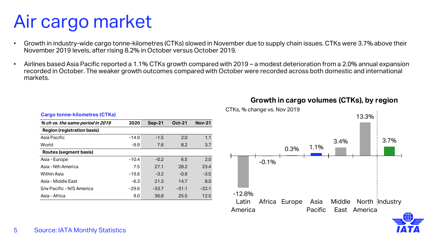### 5 Source: IATA Monthly Statistics

| <b>Cargo tonne-kilometres (CTKs)</b> |         |          |               |               |  |  |
|--------------------------------------|---------|----------|---------------|---------------|--|--|
| % ch vs. the same period in 2019     | 2020    | $Sep-21$ | <b>Oct-21</b> | <b>Nov-21</b> |  |  |
| <b>Region (registration basis)</b>   |         |          |               |               |  |  |
| Asia Pacific                         | $-14.9$ | $-1.5$   | 2.0           | 1.1           |  |  |
| World                                | $-9.9$  | 7.6      | 8.2           | 3.7           |  |  |
| Routes (segment basis)               |         |          |               |               |  |  |
| Asia - Europe                        | $-10.4$ | $-0.2$   | 6.5           | 2.0           |  |  |
| Asia - Nth America                   | 7.5     | 27.1     | 28.2          | 23.4          |  |  |
| Within Asia                          | $-19.6$ | $-3.2$   | $-0.9$        | $-3.5$        |  |  |
| Asia - Middle East                   | $-6.3$  | 21.3     | 14.7          | 8.0           |  |  |
| S/w Pacific - N/S America            | $-29.6$ | $-33.7$  | $-31.1$       | $-32.1$       |  |  |
| Asia - Africa                        | 9.0     | 36.8     | 25.5          | 12.5          |  |  |

| Air cargo market |  |
|------------------|--|
|                  |  |

- Growth in industry-wide cargo tonne-kilometres (CTKs) slowed in November due to supply chain issues. CTKs were 3.7% above their November 2019 levels, after rising 8.2% in October versus October 2019.
- Airlines based Asia Pacific reported a 1.1% CTKs growth compared with 2019 a modest deterioration from a 2.0% annual expansion recorded in October. The weaker growth outcomes compared with October were recorded across both domestic and international markets.



### **Growth in cargo volumes (CTKs), by region**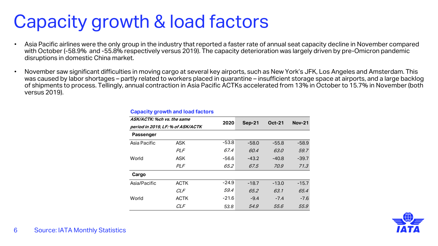## Capacity growth & load factors

- Asia Pacific airlines were the only group in the industry that reported a faster rate of annual seat capacity decline in November compared with October (-58.9% and -55.8% respectively versus 2019). The capacity deterioration was largely driven by pre-Omicron pandemic disruptions in domestic China market.
- November saw significant difficulties in moving cargo at several key airports, such as New York's JFK, Los Angeles and Amsterdam. This was caused by labor shortages – partly related to workers placed in quarantine – insufficient storage space at airports, and a large backlog of shipments to process. Tellingly, annual contraction in Asia Pacific ACTKs accelerated from 13% in October to 15.7% in November (both versus 2019).

| ASK/ACTK: %ch vs. the same<br>period in 2019, LF: % of ASK/ACTK |             |         | <b>Sep-21</b> | <b>Oct-21</b> | <b>Nov-21</b> |
|-----------------------------------------------------------------|-------------|---------|---------------|---------------|---------------|
|                                                                 |             | 2020    |               |               |               |
| Passenger                                                       |             |         |               |               |               |
| Asia Pacific                                                    | <b>ASK</b>  | $-53.8$ | $-58.0$       | $-55.8$       | $-58.9$       |
|                                                                 | PLF         | 67.4    | 60.4          | 63.0          | 59.7          |
| World                                                           | <b>ASK</b>  | $-56.6$ | $-43.2$       | $-40.8$       | $-39.7$       |
|                                                                 | <b>PLF</b>  | 65.2    | 67.5          | 70.9          | 71.3          |
| Cargo                                                           |             |         |               |               |               |
| Asia/Pacific                                                    | <b>ACTK</b> | $-24.9$ | $-18.7$       | $-13.0$       | $-15.7$       |
|                                                                 | <b>CLF</b>  | 59.4    | 65.2          | 63.1          | 65.4          |
| World                                                           | <b>ACTK</b> | $-21.6$ | $-9.4$        | $-7.4$        | $-7.6$        |
|                                                                 | <b>CLF</b>  | 53.8    | 54.9          | 55.6          | 55.9          |

#### **Capacity growth and load factors**

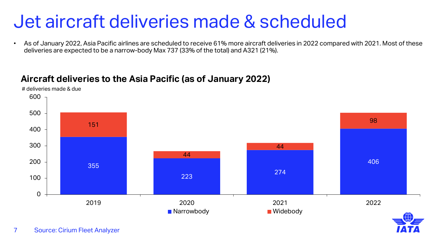### Jet aircraft deliveries made & scheduled

• As of January 2022, Asia Pacific airlines are scheduled to receive 61% more aircraft deliveries in 2022 compared with 2021. Most of these deliveries are expected to be a narrow-body Max 737 (33% of the total) and A321 (21%).

### **Aircraft deliveries to the Asia Pacific (as of January 2022)**